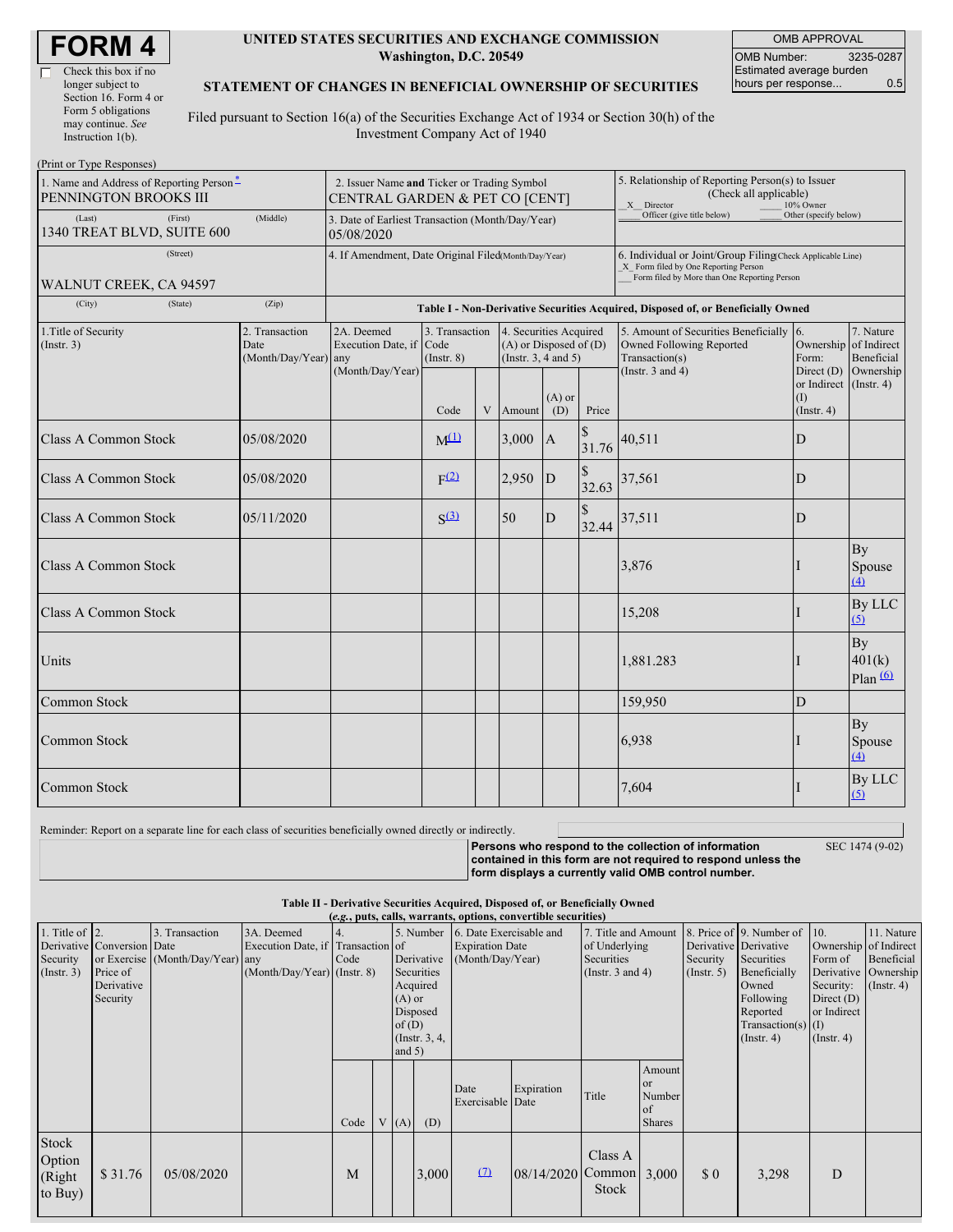#### **UNITED STATES SECURITIES AND EXCHANGE COMMISSION Washington, D.C. 20549**

OMB APPROVAL OMB Number: 3235-0287 Estimated average burden hours per response... 0.5

### **STATEMENT OF CHANGES IN BENEFICIAL OWNERSHIP OF SECURITIES**

Filed pursuant to Section 16(a) of the Securities Exchange Act of 1934 or Section 30(h) of the Investment Company Act of 1940

| (Print or Type Responses)                                         |                                                                               |                                                                                  |                                   |   |                                                                             |                 |                                                                                                                                                    |                                                                                       |                                                              |                                   |  |
|-------------------------------------------------------------------|-------------------------------------------------------------------------------|----------------------------------------------------------------------------------|-----------------------------------|---|-----------------------------------------------------------------------------|-----------------|----------------------------------------------------------------------------------------------------------------------------------------------------|---------------------------------------------------------------------------------------|--------------------------------------------------------------|-----------------------------------|--|
| 1. Name and Address of Reporting Person*<br>PENNINGTON BROOKS III | 2. Issuer Name and Ticker or Trading Symbol<br>CENTRAL GARDEN & PET CO [CENT] |                                                                                  |                                   |   |                                                                             |                 | 5. Relationship of Reporting Person(s) to Issuer<br>(Check all applicable)<br>X Director<br>10% Owner                                              |                                                                                       |                                                              |                                   |  |
| (First)<br>(Last)<br>1340 TREAT BLVD, SUITE 600                   | (Middle)                                                                      | 3. Date of Earliest Transaction (Month/Day/Year)<br>05/08/2020                   |                                   |   |                                                                             |                 |                                                                                                                                                    | Officer (give title below)                                                            | Other (specify below)                                        |                                   |  |
| (Street)                                                          | 4. If Amendment, Date Original Filed(Month/Day/Year)                          |                                                                                  |                                   |   |                                                                             |                 | 6. Individual or Joint/Group Filing(Check Applicable Line)<br>X Form filed by One Reporting Person<br>Form filed by More than One Reporting Person |                                                                                       |                                                              |                                   |  |
| WALNUT CREEK, CA 94597<br>(City)<br>(State)                       |                                                                               |                                                                                  |                                   |   |                                                                             |                 |                                                                                                                                                    |                                                                                       |                                                              |                                   |  |
|                                                                   | (Zip)                                                                         | Table I - Non-Derivative Securities Acquired, Disposed of, or Beneficially Owned |                                   |   |                                                                             |                 |                                                                                                                                                    |                                                                                       |                                                              |                                   |  |
| 1. Title of Security<br>(Insert. 3)                               | 2. Transaction<br>Date<br>(Month/Day/Year) any                                | 2A. Deemed<br>Execution Date, if Code<br>(Month/Day/Year)                        | 3. Transaction<br>$($ Instr. $8)$ |   | 4. Securities Acquired<br>$(A)$ or Disposed of $(D)$<br>(Instr. 3, 4 and 5) |                 |                                                                                                                                                    | 5. Amount of Securities Beneficially 6.<br>Owned Following Reported<br>Transaction(s) | Ownership of Indirect<br>Form:                               | 7. Nature<br>Beneficial           |  |
|                                                                   |                                                                               |                                                                                  | Code                              | V | Amount                                                                      | $(A)$ or<br>(D) | Price                                                                                                                                              | (Instr. $3$ and $4$ )                                                                 | Direct $(D)$<br>or Indirect (Instr. 4)<br>(I)<br>(Insert. 4) | Ownership                         |  |
| Class A Common Stock                                              | 05/08/2020                                                                    |                                                                                  | $M^{(1)}$                         |   | 3,000                                                                       | $\overline{A}$  | 31.76                                                                                                                                              | 40,511                                                                                | D                                                            |                                   |  |
| Class A Common Stock                                              | 05/08/2020                                                                    |                                                                                  | F <sup>(2)</sup>                  |   | 2,950                                                                       | D               | \$<br>32.63                                                                                                                                        | 37,561                                                                                | D                                                            |                                   |  |
| <b>Class A Common Stock</b>                                       | 05/11/2020                                                                    |                                                                                  | S <sup>(3)</sup>                  |   | 50                                                                          | D               | \$<br>32.44                                                                                                                                        | 37,511                                                                                | D                                                            |                                   |  |
| Class A Common Stock                                              |                                                                               |                                                                                  |                                   |   |                                                                             |                 |                                                                                                                                                    | 3,876                                                                                 |                                                              | <b>By</b><br>Spouse<br>$\Delta$   |  |
| <b>Class A Common Stock</b>                                       |                                                                               |                                                                                  |                                   |   |                                                                             |                 |                                                                                                                                                    | 15,208                                                                                |                                                              | By LLC<br>(5)                     |  |
| Units                                                             |                                                                               |                                                                                  |                                   |   |                                                                             |                 |                                                                                                                                                    | 1,881.283                                                                             |                                                              | <b>By</b><br>401(k)<br>Plan $(6)$ |  |
| Common Stock                                                      |                                                                               |                                                                                  |                                   |   |                                                                             |                 |                                                                                                                                                    | 159,950                                                                               | D                                                            |                                   |  |
| <b>Common Stock</b>                                               |                                                                               |                                                                                  |                                   |   |                                                                             |                 |                                                                                                                                                    | 6,938                                                                                 |                                                              | By<br>Spouse<br>(4)               |  |
| Common Stock                                                      |                                                                               |                                                                                  |                                   |   |                                                                             |                 |                                                                                                                                                    | 7,604                                                                                 |                                                              | By LLC<br>(5)                     |  |

Reminder: Report on a separate line for each class of securities beneficially owned directly or indirectly.

**Persons who respond to the collection of information contained in this form are not required to respond unless the form displays a currently valid OMB control number.**

SEC 1474 (9-02)

**Table II - Derivative Securities Acquired, Disposed of, or Beneficially Owned (***e.g.***, puts, calls, warrants, options, convertible securities)**

| $(0.5)$ pair, early want alres, operator, convertiser securities |                            |                                  |                                   |      |          |                 |                                   |                        |                             |                  |               |                                                  |                      |                       |                      |
|------------------------------------------------------------------|----------------------------|----------------------------------|-----------------------------------|------|----------|-----------------|-----------------------------------|------------------------|-----------------------------|------------------|---------------|--------------------------------------------------|----------------------|-----------------------|----------------------|
| 1. Title of $ 2$ .                                               |                            | 3. Transaction                   | 3A. Deemed                        | 14.  |          |                 | 5. Number 6. Date Exercisable and |                        | 7. Title and Amount         |                  |               | 8. Price of 9. Number of 10.                     |                      | 11. Nature            |                      |
|                                                                  | Derivative Conversion Date |                                  | Execution Date, if Transaction of |      |          |                 |                                   | <b>Expiration Date</b> |                             | of Underlying    |               | Derivative Derivative                            |                      | Ownership of Indirect |                      |
| Security                                                         |                            | or Exercise (Month/Day/Year) any |                                   | Code |          |                 | Derivative                        | (Month/Day/Year)       |                             | Securities       |               | Security                                         | Securities           | Form of               | Beneficial           |
| $($ Instr. 3 $)$                                                 | Price of                   |                                  | $(Month/Day/Year)$ (Instr. 8)     |      |          |                 | Securities                        |                        |                             | (Instr. 3 and 4) |               | $($ Instr. 5 $)$                                 | Beneficially         |                       | Derivative Ownership |
|                                                                  | Derivative                 |                                  |                                   |      |          |                 | Acquired                          |                        |                             |                  |               |                                                  | Owned                | Security:             | $($ Instr. 4 $)$     |
|                                                                  | Security                   |                                  |                                   |      |          | $(A)$ or        |                                   |                        |                             |                  |               |                                                  | Following            | Direct $(D)$          |                      |
|                                                                  |                            |                                  |                                   |      |          | Disposed        |                                   |                        |                             |                  |               |                                                  | Reported             | or Indirect           |                      |
|                                                                  |                            |                                  |                                   |      |          | of(D)           |                                   |                        |                             |                  |               |                                                  | $Transaction(s)$ (I) |                       |                      |
|                                                                  |                            |                                  |                                   |      |          | (Instr. $3, 4,$ |                                   |                        |                             |                  |               |                                                  | $($ Instr. 4 $)$     | $($ Instr. 4 $)$      |                      |
|                                                                  |                            |                                  |                                   |      |          |                 |                                   |                        |                             |                  |               |                                                  |                      |                       |                      |
|                                                                  |                            |                                  |                                   |      | and $5)$ |                 |                                   |                        |                             |                  |               |                                                  |                      |                       |                      |
|                                                                  |                            |                                  |                                   |      |          |                 |                                   |                        |                             |                  | Amount        |                                                  |                      |                       |                      |
|                                                                  |                            |                                  |                                   |      |          |                 |                                   |                        |                             |                  | <sub>or</sub> |                                                  |                      |                       |                      |
|                                                                  |                            |                                  |                                   |      |          |                 |                                   | Date                   | Expiration                  | Title            | Number        |                                                  |                      |                       |                      |
|                                                                  |                            |                                  |                                   |      |          |                 |                                   | Exercisable Date       |                             |                  | of            |                                                  |                      |                       |                      |
|                                                                  |                            |                                  |                                   | Code |          | V(A)            | (D)                               |                        |                             |                  | <b>Shares</b> |                                                  |                      |                       |                      |
| Stock                                                            |                            |                                  |                                   |      |          |                 |                                   |                        |                             |                  |               |                                                  |                      |                       |                      |
|                                                                  |                            |                                  |                                   |      |          |                 |                                   |                        |                             | Class A          |               |                                                  |                      |                       |                      |
| Option                                                           |                            |                                  |                                   |      |          |                 |                                   |                        |                             |                  |               |                                                  |                      |                       |                      |
| (Right                                                           | \$31.76                    | 05/08/2020                       |                                   | M    |          |                 | 3,000                             | $\Omega$               | $ 08/14/2020 $ Common 3.000 |                  |               | $\boldsymbol{\mathsf{S}}\boldsymbol{\mathsf{0}}$ | 3,298                | D                     |                      |
|                                                                  |                            |                                  |                                   |      |          |                 |                                   |                        |                             | Stock            |               |                                                  |                      |                       |                      |
| to Buy)                                                          |                            |                                  |                                   |      |          |                 |                                   |                        |                             |                  |               |                                                  |                      |                       |                      |
|                                                                  |                            |                                  |                                   |      |          |                 |                                   |                        |                             |                  |               |                                                  |                      |                       |                      |